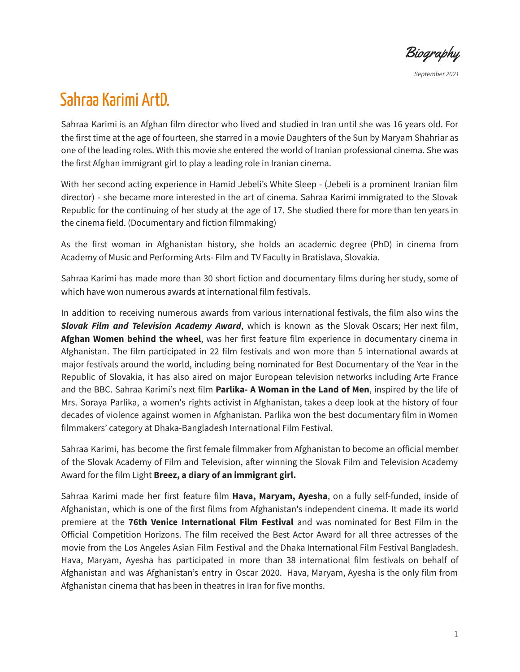Biography

*September 2021*

# Sahraa Karimi ArtD.

Sahraa Karimi is an Afghan film director who lived and studied in Iran until she was 16 years old. For the first time at the age of fourteen, she starred in a movie Daughters of the Sun by Maryam Shahriar as one of the leading roles. With this movie she entered the world of Iranian professional cinema. She was the first Afghan immigrant girl to play a leading role in Iranian cinema.

With her second acting experience in Hamid Jebeli's White Sleep - (Jebeli is a prominent Iranian film director) - she became more interested in the art of cinema. Sahraa Karimi immigrated to the Slovak Republic for the continuing of her study at the age of 17. She studied there for more than ten years in the cinema field. (Documentary and fiction filmmaking)

As the first woman in Afghanistan history, she holds an academic degree (PhD) in cinema from Academy of Music and Performing Arts- Film and TV Faculty in Bratislava, Slovakia.

Sahraa Karimi has made more than 30 short fiction and documentary films during her study, some of which have won numerous awards at international film festivals.

In addition to receiving numerous awards from various international festivals, the film also wins the *Slovak Film and Television Academy Award*, which is known as the Slovak Oscars; Her next film, **Afghan Women behind the wheel**, was her first feature film experience in documentary cinema in Afghanistan. The film participated in 22 film festivals and won more than 5 international awards at major festivals around the world, including being nominated for Best Documentary of the Year in the Republic of Slovakia, it has also aired on major European television networks including Arte France and the BBC. Sahraa Karimi's next film **Parlika- A Woman in the Land of Men**, inspired by the life of Mrs. Soraya Parlika, a women's rights activist in Afghanistan, takes a deep look at the history of four decades of violence against women in Afghanistan. Parlika won the best documentary film in Women filmmakers' category at Dhaka-Bangladesh International Film Festival.

Sahraa Karimi, has become the first female filmmaker from Afghanistan to become an official member of the Slovak Academy of Film and Television, after winning the Slovak Film and Television Academy Award for the film Light **Breez, a diary of an immigrant girl.**

Sahraa Karimi made her first feature film **Hava, Maryam, Ayesha**, on a fully self-funded, inside of Afghanistan, which is one of the first films from Afghanistan's independent cinema. It made its world premiere at the **76th Venice International Film Festival** and was nominated for Best Film in the Official Competition Horizons. The film received the Best Actor Award for all three actresses of the movie from the Los Angeles Asian Film Festival and the Dhaka International Film Festival Bangladesh. Hava, Maryam, Ayesha has participated in more than 38 international film festivals on behalf of Afghanistan and was Afghanistan's entry in Oscar 2020. Hava, Maryam, Ayesha is the only film from Afghanistan cinema that has been in theatres in Iran for five months.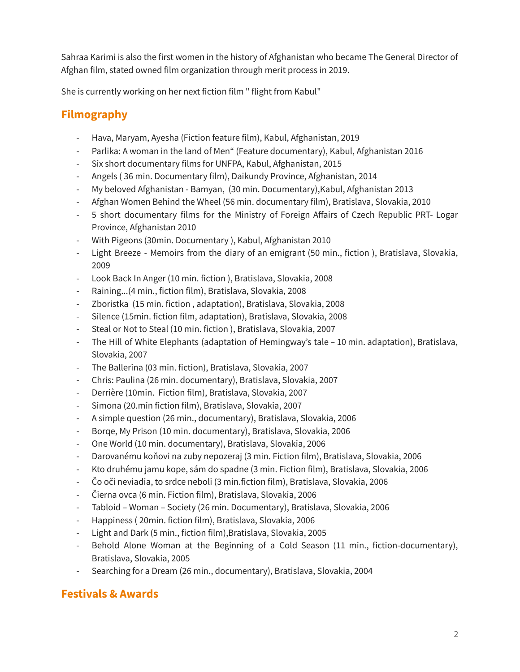Sahraa Karimi is also the first women in the history of Afghanistan who became The General Director of Afghan film, stated owned film organization through merit process in 2019.

She is currently working on her next fiction film " flight from Kabul"

# **Filmography**

- Hava, Maryam, Ayesha (Fiction feature film), Kabul, Afghanistan, 2019
- Parlika: A woman in the land of Men" (Feature documentary), Kabul, Afghanistan 2016
- Six short documentary films for UNFPA, Kabul, Afghanistan, 2015
- Angels ( 36 min. Documentary film), Daikundy Province, Afghanistan, 2014
- My beloved Afghanistan Bamyan, (30 min. Documentary),Kabul, Afghanistan 2013
- Afghan Women Behind the Wheel (56 min. documentary film), Bratislava, Slovakia, 2010
- 5 short documentary films for the Ministry of Foreign Affairs of Czech Republic PRT- Logar Province, Afghanistan 2010
- With Pigeons (30min. Documentary ), Kabul, Afghanistan 2010
- Light Breeze Memoirs from the diary of an emigrant (50 min., fiction ), Bratislava, Slovakia, 2009
- Look Back In Anger (10 min. fiction ), Bratislava, Slovakia, 2008
- Raining...(4 min., fiction film), Bratislava, Slovakia, 2008
- Zboristka (15 min. fiction , adaptation), Bratislava, Slovakia, 2008
- Silence (15min. fiction film, adaptation), Bratislava, Slovakia, 2008
- Steal or Not to Steal (10 min. fiction ), Bratislava, Slovakia, 2007
- The Hill of White Elephants (adaptation of Hemingway's tale 10 min. adaptation), Bratislava, Slovakia, 2007
- The Ballerina (03 min. fiction), Bratislava, Slovakia, 2007
- Chris: Paulina (26 min. documentary), Bratislava, Slovakia, 2007
- Derrière (10min. Fiction film), Bratislava, Slovakia, 2007
- Simona (20.min fiction film), Bratislava, Slovakia, 2007
- A simple question (26 min., documentary), Bratislava, Slovakia, 2006
- Borqe, My Prison (10 min. documentary), Bratislava, Slovakia, 2006
- One World (10 min. documentary), Bratislava, Slovakia, 2006
- Darovanému koňovi na zuby nepozeraj (3 min. Fiction film), Bratislava, Slovakia, 2006
- Kto druhému jamu kope, sám do spadne (3 min. Fiction film), Bratislava, Slovakia, 2006
- Čo oči neviadia, to srdce neboli (3 min.fiction film), Bratislava, Slovakia, 2006
- Čierna ovca (6 min. Fiction film), Bratislava, Slovakia, 2006
- Tabloid Woman Society (26 min. Documentary), Bratislava, Slovakia, 2006
- Happiness ( 20min. fiction film), Bratislava, Slovakia, 2006
- Light and Dark (5 min., fiction film),Bratislava, Slovakia, 2005
- Behold Alone Woman at the Beginning of a Cold Season (11 min., fiction-documentary), Bratislava, Slovakia, 2005
- Searching for a Dream (26 min., documentary), Bratislava, Slovakia, 2004

# **Festivals & Awards**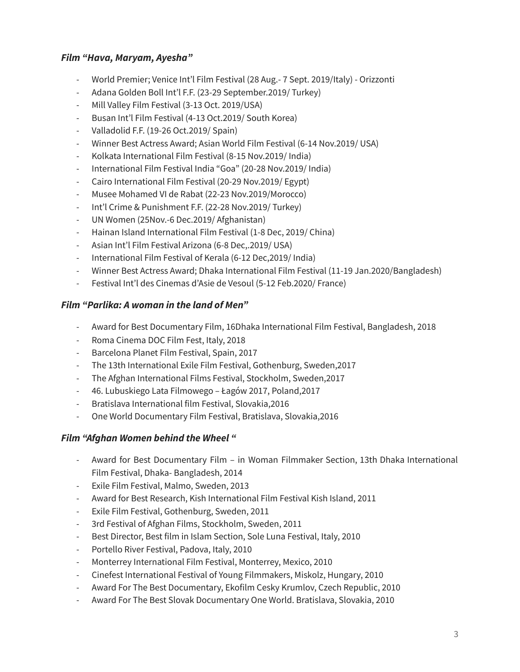#### *Film "Hava, Maryam, Ayesha"*

- World Premier; Venice Int'l Film Festival (28 Aug.- 7 Sept. 2019/Italy) Orizzonti
- Adana Golden Boll Int'l F.F. (23-29 September.2019/ Turkey)
- Mill Valley Film Festival (3-13 Oct. 2019/USA)
- Busan Int'l Film Festival (4-13 Oct.2019/ South Korea)
- Valladolid F.F. (19-26 Oct.2019/ Spain)
- Winner Best Actress Award; Asian World Film Festival (6-14 Nov.2019/ USA)
- Kolkata International Film Festival (8-15 Nov.2019/ India)
- International Film Festival India "Goa" (20-28 Nov.2019/ India)
- Cairo International Film Festival (20-29 Nov.2019/ Egypt)
- Musee Mohamed VI de Rabat (22-23 Nov.2019/Morocco)
- Int'l Crime & Punishment F.F. (22-28 Nov.2019/ Turkey)
- UN Women (25Nov.-6 Dec.2019/ Afghanistan)
- Hainan Island International Film Festival (1-8 Dec, 2019/ China)
- Asian Int'l Film Festival Arizona (6-8 Dec,.2019/ USA)
- International Film Festival of Kerala (6-12 Dec,2019/ India)
- Winner Best Actress Award; Dhaka International Film Festival (11-19 Jan.2020/Bangladesh)
- Festival Int'l des Cinemas d'Asie de Vesoul (5-12 Feb.2020/ France)

#### *Film "Parlika: A woman in the land of Men"*

- Award for Best Documentary Film, 16Dhaka International Film Festival, Bangladesh, 2018
- Roma Cinema DOC Film Fest, Italy, 2018
- Barcelona Planet Film Festival, Spain, 2017
- The 13th International Exile Film Festival, Gothenburg, Sweden,2017
- The Afghan International Films Festival, Stockholm, Sweden,2017
- 46. Lubuskiego Lata Filmowego Łagów 2017, Poland,2017
- Bratislava International film Festival, Slovakia,2016
- One World Documentary Film Festival, Bratislava, Slovakia,2016

#### *Film "Afghan Women behind the Wheel "*

- Award for Best Documentary Film in Woman Filmmaker Section, 13th Dhaka International Film Festival, Dhaka- Bangladesh, 2014
- Exile Film Festival, Malmo, Sweden, 2013
- Award for Best Research, Kish International Film Festival Kish Island, 2011
- Exile Film Festival, Gothenburg, Sweden, 2011
- 3rd Festival of Afghan Films, Stockholm, Sweden, 2011
- Best Director, Best film in Islam Section, Sole Luna Festival, Italy, 2010
- Portello River Festival, Padova, Italy, 2010
- Monterrey International Film Festival, Monterrey, Mexico, 2010
- Cinefest International Festival of Young Filmmakers, Miskolz, Hungary, 2010
- Award For The Best Documentary, Ekofilm Cesky Krumlov, Czech Republic, 2010
- Award For The Best Slovak Documentary One World. Bratislava, Slovakia, 2010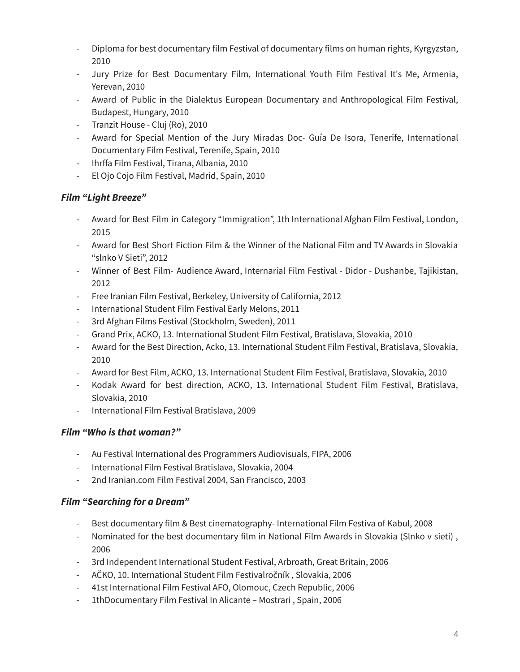- Diploma for best documentary film Festival of documentary films on human rights, Kyrgyzstan, 2010
- Jury Prize for Best Documentary Film, International Youth Film Festival It's Me, Armenia, Yerevan, 2010
- Award of Public in the Dialektus European Documentary and Anthropological Film Festival, Budapest, Hungary, 2010
- Tranzit House Cluj (Ro), 2010
- Award for Special Mention of the Jury Miradas Doc- Guía De Isora, Tenerife, International Documentary Film Festival, Terenife, Spain, 2010
- Ihrffa Film Festival, Tirana, Albania, 2010
- El Ojo Cojo Film Festival, Madrid, Spain, 2010

## *Film "Light Breeze"*

- Award for Best Film in Category "Immigration", 1th International Afghan Film Festival, London, 2015
- Award for Best Short Fiction Film & the Winner of the National Film and TV Awards in Slovakia "slnko V Sieti", 2012
- Winner of Best Film- Audience Award, Internarial Film Festival Didor Dushanbe, Tajikistan, 2012
- Free Iranian Film Festival, Berkeley, University of California, 2012
- International Student Film Festival Early Melons, 2011
- 3rd Afghan Films Festival (Stockholm, Sweden), 2011
- Grand Prix, ACKO, 13. International Student Film Festival, Bratislava, Slovakia, 2010
- Award for the Best Direction, Acko, 13. International Student Film Festival, Bratislava, Slovakia, 2010
- Award for Best Film, ACKO, 13. International Student Film Festival, Bratislava, Slovakia, 2010
- Kodak Award for best direction, ACKO, 13. International Student Film Festival, Bratislava, Slovakia, 2010
- International Film Festival Bratislava, 2009

## *Film "Who is that woman?"*

- Au Festival International des Programmers Audiovisuals, FIPA, 2006
- International Film Festival Bratislava, Slovakia, 2004
- 2nd Iranian.com Film Festival 2004, San Francisco, 2003

## *Film "Searching for a Dream"*

- Best documentary film & Best cinematography- International Film Festiva of Kabul, 2008
- Nominated for the best documentary film in National Film Awards in Slovakia (Slnko v sieti) , 2006
- 3rd Independent International Student Festival, Arbroath, Great Britain, 2006
- AČKO, 10. International Student Film Festivalročník , Slovakia, 2006
- 41st International Film Festival AFO, Olomouc, Czech Republic, 2006
- 1thDocumentary Film Festival In Alicante Mostrari , Spain, 2006